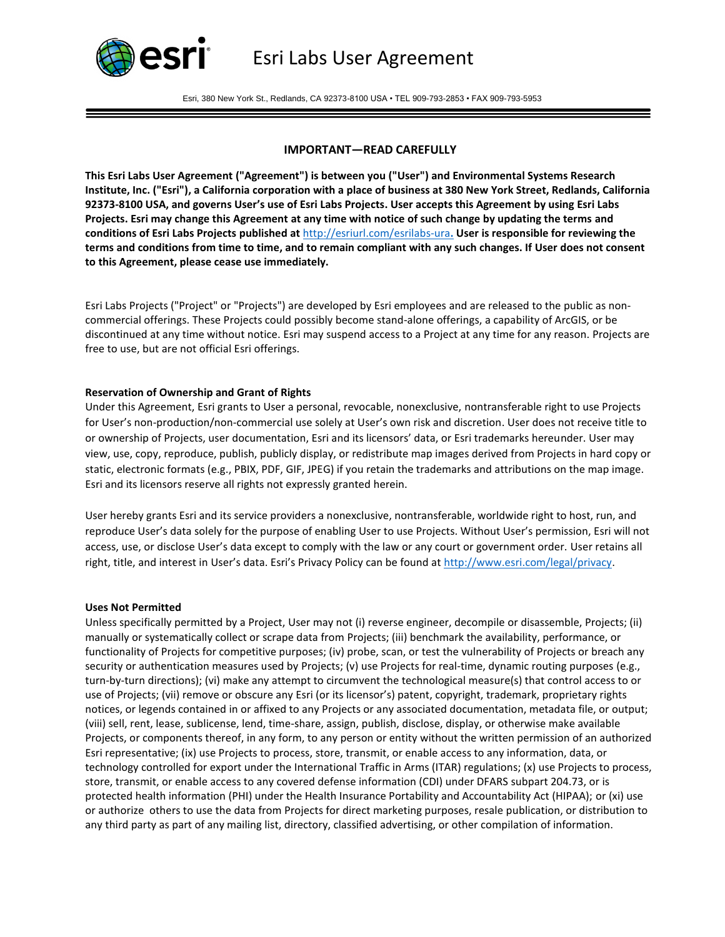

Esri, 380 New York St., Redlands, CA 92373-8100 USA • TEL 909-793-2853 • FAX 909-793-5953

# **IMPORTANT—READ CAREFULLY**

**This Esri Labs User Agreement ("Agreement") is between you ("User") and Environmental Systems Research Institute, Inc. ("Esri"), a California corporation with a place of business at 380 New York Street, Redlands, California 92373-8100 USA, and governs User's use of Esri Labs Projects. User accepts this Agreement by using Esri Labs Projects. Esri may change this Agreement at any time with notice of such change by updating the terms and conditions of Esri Labs Projects published at** <http://esriurl.com/esrilabs-ura>**. User is responsible for reviewing the terms and conditions from time to time, and to remain compliant with any such changes. If User does not consent to this Agreement, please cease use immediately.**

Esri Labs Projects ("Project" or "Projects") are developed by Esri employees and are released to the public as noncommercial offerings. These Projects could possibly become stand-alone offerings, a capability of ArcGIS, or be discontinued at any time without notice. Esri may suspend access to a Project at any time for any reason. Projects are free to use, but are not official Esri offerings.

### **Reservation of Ownership and Grant of Rights**

Under this Agreement, Esri grants to User a personal, revocable, nonexclusive, nontransferable right to use Projects for User's non-production/non-commercial use solely at User's own risk and discretion. User does not receive title to or ownership of Projects, user documentation, Esri and its licensors' data, or Esri trademarks hereunder. User may view, use, copy, reproduce, publish, publicly display, or redistribute map images derived from Projects in hard copy or static, electronic formats (e.g., PBIX, PDF, GIF, JPEG) if you retain the trademarks and attributions on the map image. Esri and its licensors reserve all rights not expressly granted herein.

User hereby grants Esri and its service providers a nonexclusive, nontransferable, worldwide right to host, run, and reproduce User's data solely for the purpose of enabling User to use Projects. Without User's permission, Esri will not access, use, or disclose User's data except to comply with the law or any court or government order. User retains all right, title, and interest in User's data. Esri's Privacy Policy can be found at [http://www.esri.com/legal/privacy.](http://www.esri.com/legal/privacy)

#### **Uses Not Permitted**

Unless specifically permitted by a Project, User may not (i) reverse engineer, decompile or disassemble, Projects; (ii) manually or systematically collect or scrape data from Projects; (iii) benchmark the availability, performance, or functionality of Projects for competitive purposes; (iv) probe, scan, or test the vulnerability of Projects or breach any security or authentication measures used by Projects; (v) use Projects for real-time, dynamic routing purposes (e.g., turn-by-turn directions); (vi) make any attempt to circumvent the technological measure(s) that control access to or use of Projects; (vii) remove or obscure any Esri (or its licensor's) patent, copyright, trademark, proprietary rights notices, or legends contained in or affixed to any Projects or any associated documentation, metadata file, or output; (viii) sell, rent, lease, sublicense, lend, time-share, assign, publish, disclose, display, or otherwise make available Projects, or components thereof, in any form, to any person or entity without the written permission of an authorized Esri representative; (ix) use Projects to process, store, transmit, or enable access to any information, data, or technology controlled for export under the International Traffic in Arms (ITAR) regulations; (x) use Projects to process, store, transmit, or enable access to any covered defense information (CDI) under DFARS subpart 204.73, or is protected health information (PHI) under the Health Insurance Portability and Accountability Act (HIPAA); or (xi) use or authorize others to use the data from Projects for direct marketing purposes, resale publication, or distribution to any third party as part of any mailing list, directory, classified advertising, or other compilation of information.